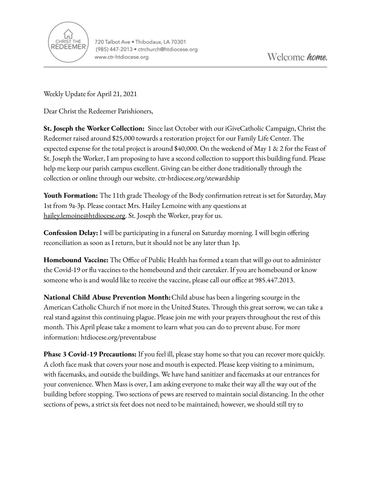

Weekly Update for April 21, 2021

Dear Christ the Redeemer Parishioners,

**St. Joseph the Worker Collection:** Since last October with our iGiveCatholic Campaign, Christ the Redeemer raised around \$25,000 towards a restoration project for our Family Life Center. The expected expense for the total project is around \$40,000. On the weekend of May 1 & 2 for the Feast of St. Joseph the Worker, I am proposing to have a second collection to support this building fund. Please help me keep our parish campus excellent. Giving can be either done traditionally through the collection or online through our website. ctr-htdiocese.org/stewardship

**Youth Formation:** The 11th grade Theology of the Body confirmation retreat is set for Saturday, May 1st from 9a-3p. Please contact Mrs. Hailey Lemoine with any questions at [hailey.lemoine@htdiocese.org.](mailto:hailey.lemoine@htdiocese.org) St. Joseph the Worker, pray for us.

**Confession Delay:** I will be participating in a funeral on Saturday morning. I will begin offering reconciliation as soon as I return, but it should not be any later than 1p.

**Homebound Vaccine:** The Office of Public Health has formed a team that will go out to administer the Covid-19 or flu vaccines to the homebound and their caretaker. If you are homebound or know someone who is and would like to receive the vaccine, please call our office at 985.447.2013.

**National Child Abuse Prevention Month:**Child abuse has been a lingering scourge in the American Catholic Church if not more in the United States. Through this great sorrow, we can take a real stand against this continuing plague. Please join me with your prayers throughout the rest of this month. This April please take a moment to learn what you can do to prevent abuse. For more information: htdiocese.org/preventabuse

**Phase 3 Covid-19 Precautions:** If you feel ill, please stay home so that you can recover more quickly. A cloth face mask that covers your nose and mouth is expected. Please keep visiting to a minimum, with facemasks, and outside the buildings. We have hand sanitizer and facemasks at our entrances for your convenience. When Mass is over, I am asking everyone to make their way all the way out of the building before stopping. Two sections of pews are reserved to maintain social distancing. In the other sections of pews, a strict six feet does not need to be maintained; however, we should still try to